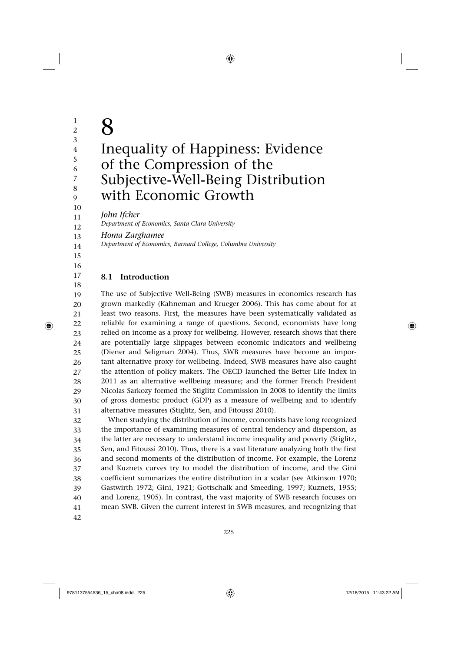# 8 Inequality of Happiness: Evidence of the Compression of the Subjective-Well-Being Distribution with Economic Growth

*John Ifcher*

⊕

*Department of Economics, Santa Clara University*

*Homa Zarghamee*

*Department of Economics, Barnard College, Columbia University*

# **8.1 Introduction**

The use of Subjective Well-Being (SWB) measures in economics research has grown markedly (Kahneman and Krueger 2006). This has come about for at least two reasons. First, the measures have been systematically validated as reliable for examining a range of questions. Second, economists have long relied on income as a proxy for wellbeing. However, research shows that there are potentially large slippages between economic indicators and wellbeing (Diener and Seligman 2004). Thus, SWB measures have become an important alternative proxy for wellbeing. Indeed, SWB measures have also caught the attention of policy makers. The OECD launched the Better Life Index in 2011 as an alternative wellbeing measure; and the former French President Nicolas Sarkozy formed the Stiglitz Commission in 2008 to identify the limits of gross domestic product (GDP) as a measure of wellbeing and to identify alternative measures (Stiglitz, Sen, and Fitoussi 2010).

When studying the distribution of income, economists have long recognized the importance of examining measures of central tendency and dispersion, as the latter are necessary to understand income inequality and poverty (Stiglitz, Sen, and Fitoussi 2010). Thus, there is a vast literature analyzing both the first and second moments of the distribution of income. For example, the Lorenz and Kuznets curves try to model the distribution of income, and the Gini coefficient summarizes the entire distribution in a scalar (see Atkinson 1970; Gastwirth 1972; Gini, 1921; Gottschalk and Smeeding, 1997; Kuznets, 1955; and Lorenz, 1905). In contrast, the vast majority of SWB research focuses on mean SWB. Given the current interest in SWB measures, and recognizing that 32 33 34 35 36 37 38 39 40 41 42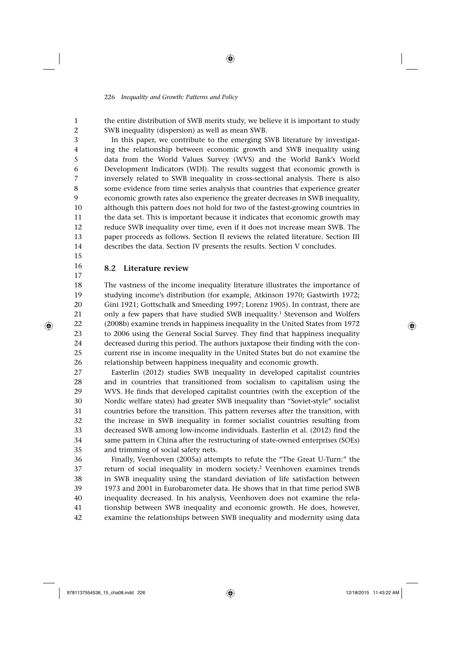the entire distribution of SWB merits study, we believe it is important to study SWB inequality (dispersion) as well as mean SWB.

In this paper, we contribute to the emerging SWB literature by investigating the relationship between economic growth and SWB inequality using data from the World Values Survey (WVS) and the World Bank's World Development Indicators (WDI). The results suggest that economic growth is inversely related to SWB inequality in cross-sectional analysis. There is also some evidence from time series analysis that countries that experience greater economic growth rates also experience the greater decreases in SWB inequality, although this pattern does not hold for two of the fastest-growing countries in the data set. This is important because it indicates that economic growth may reduce SWB inequality over time, even if it does not increase mean SWB. The paper proceeds as follows. Section II reviews the related literature. Section III describes the data. Section IV presents the results. Section V concludes. 10 12 13 14

## **8.2 Literature review**

The vastness of the income inequality literature illustrates the importance of studying income's distribution (for example, Atkinson 1970; Gastwirth 1972; Gini 1921; Gottschalk and Smeeding 1997; Lorenz 1905). In contrast, there are only a few papers that have studied SWB inequality.<sup>1</sup> Stevenson and Wolfers (2008b) examine trends in happiness inequality in the United States from 1972 to 2006 using the General Social Survey. They find that happiness inequality decreased during this period. The authors juxtapose their finding with the concurrent rise in income inequality in the United States but do not examine the relationship between happiness inequality and economic growth.

Easterlin (2012) studies SWB inequality in developed capitalist countries and in countries that transitioned from socialism to capitalism using the WVS. He finds that developed capitalist countries (with the exception of the Nordic welfare states) had greater SWB inequality than "Soviet-style" socialist countries before the transition. This pattern reverses after the transition, with the increase in SWB inequality in former socialist countries resulting from decreased SWB among low-income individuals. Easterlin et al. (2012) find the same pattern in China after the restructuring of state-owned enterprises (SOEs) and trimming of social safety nets. 27 28 29 30 31 32 33 34 35

Finally, Veenhoven (2005a) attempts to refute the "The Great U-Turn:" the return of social inequality in modern society.<sup>2</sup> Veenhoven examines trends in SWB inequality using the standard deviation of life satisfaction between 1973 and 2001 in Eurobarometer data. He shows that in that time period SWB inequality decreased. In his analysis, Veenhoven does not examine the relationship between SWB inequality and economic growth. He does, however, examine the relationships between SWB inequality and modernity using data 36 37 38 39 40 41 42

11

9781137554536\_15\_cha08.indd 226 781137554536\_15\_cha08.indd 226 781137554536\_15\_cha08.indd 12/18/2015 11:43:22 AM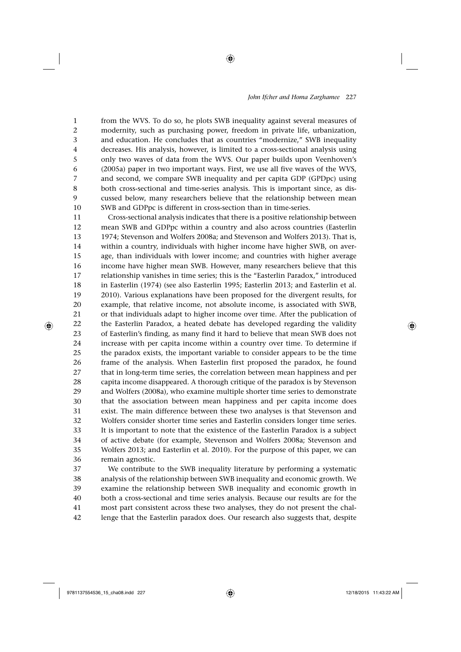from the WVS. To do so, he plots SWB inequality against several measures of modernity, such as purchasing power, freedom in private life, urbanization, and education. He concludes that as countries "modernize," SWB inequality decreases. His analysis, however, is limited to a cross-sectional analysis using only two waves of data from the WVS. Our paper builds upon Veenhoven's (2005a) paper in two important ways. First, we use all five waves of the WVS, and second, we compare SWB inequality and per capita GDP (GPDpc) using both cross-sectional and time-series analysis. This is important since, as discussed below, many researchers believe that the relationship between mean SWB and GDPpc is different in cross-section than in time-series. 1 2 3 4 5 6 7 8 9 10

⊕

Cross-sectional analysis indicates that there is a positive relationship between mean SWB and GDPpc within a country and also across countries (Easterlin 1974; Stevenson and Wolfers 2008a; and Stevenson and Wolfers 2013). That is, within a country, individuals with higher income have higher SWB, on average, than individuals with lower income; and countries with higher average income have higher mean SWB. However, many researchers believe that this relationship vanishes in time series; this is the "Easterlin Paradox," introduced in Easterlin (1974) (see also Easterlin 1995; Easterlin 2013; and Easterlin et al. 2010). Various explanations have been proposed for the divergent results, for example, that relative income, not absolute income, is associated with SWB, or that individuals adapt to higher income over time. After the publication of the Easterlin Paradox, a heated debate has developed regarding the validity of Easterlin's finding, as many find it hard to believe that mean SWB does not increase with per capita income within a country over time. To determine if the paradox exists, the important variable to consider appears to be the time frame of the analysis. When Easterlin first proposed the paradox, he found that in long-term time series, the correlation between mean happiness and per capita income disappeared. A thorough critique of the paradox is by Stevenson and Wolfers (2008a), who examine multiple shorter time series to demonstrate that the association between mean happiness and per capita income does exist. The main difference between these two analyses is that Stevenson and Wolfers consider shorter time series and Easterlin considers longer time series. It is important to note that the existence of the Easterlin Paradox is a subject of active debate (for example, Stevenson and Wolfers 2008a; Stevenson and Wolfers 2013; and Easterlin et al. 2010). For the purpose of this paper, we can remain agnostic. 11 12 13 14 15 16 17 18 19 20 21 22 23 24 25 26 27 28 29 30 31 32 33 34 35 36

We contribute to the SWB inequality literature by performing a systematic analysis of the relationship between SWB inequality and economic growth. We examine the relationship between SWB inequality and economic growth in both a cross-sectional and time series analysis. Because our results are for the most part consistent across these two analyses, they do not present the challenge that the Easterlin paradox does. Our research also suggests that, despite 37 38 39 40 41 42

9781137554536\_15\_cha08.indd 227 7812137554536\_15\_cha08.indd 227 781211872015 11:43:22 AM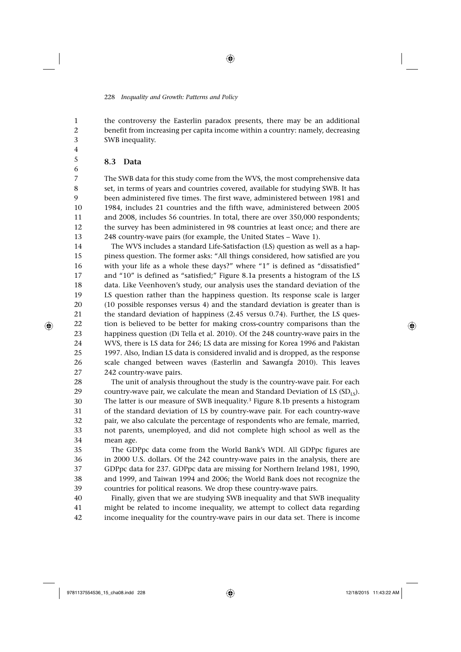the controversy the Easterlin paradox presents, there may be an additional benefit from increasing per capita income within a country: namely, decreasing SWB inequality.

## **8.3 Data**

The SWB data for this study come from the WVS, the most comprehensive data set, in terms of years and countries covered, available for studying SWB. It has been administered five times. The first wave, administered between 1981 and 1984, includes 21 countries and the fifth wave, administered between 2005 and 2008, includes 56 countries. In total, there are over 350,000 respondents; the survey has been administered in 98 countries at least once; and there are 248 country-wave pairs (for example, the United States – Wave 1).

The WVS includes a standard Life-Satisfaction (LS) question as well as a happiness question. The former asks: "All things considered, how satisfied are you with your life as a whole these days?" where "1" is defined as "dissatisfied" and "10" is defined as "satisfied;" Figure 8.1a presents a histogram of the LS data. Like Veenhoven's study, our analysis uses the standard deviation of the LS question rather than the happiness question. Its response scale is larger (10 possible responses versus 4) and the standard deviation is greater than is the standard deviation of happiness (2.45 versus 0.74). Further, the LS question is believed to be better for making cross-country comparisons than the happiness question (Di Tella et al. 2010). Of the 248 country-wave pairs in the WVS, there is LS data for 246; LS data are missing for Korea 1996 and Pakistan 1997. Also, Indian LS data is considered invalid and is dropped, as the response scale changed between waves (Easterlin and Sawangfa 2010). This leaves 242 country-wave pairs.

The unit of analysis throughout the study is the country-wave pair. For each country-wave pair, we calculate the mean and Standard Deviation of LS  $(SD_{IS})$ . The latter is our measure of SWB inequality.<sup>3</sup> Figure 8.1b presents a histogram of the standard deviation of LS by country-wave pair. For each country-wave pair, we also calculate the percentage of respondents who are female, married, not parents, unemployed, and did not complete high school as well as the mean age. 28 29 30 31 32 33 34

The GDPpc data come from the World Bank's WDI. All GDPpc figures are in 2000 U.S. dollars. Of the 242 country-wave pairs in the analysis, there are GDPpc data for 237. GDPpc data are missing for Northern Ireland 1981, 1990, and 1999, and Taiwan 1994 and 2006; the World Bank does not recognize the countries for political reasons. We drop these country-wave pairs. 35 36 37 38 39

Finally, given that we are studying SWB inequality and that SWB inequality might be related to income inequality, we attempt to collect data regarding income inequality for the country-wave pairs in our data set. There is income 40 41 42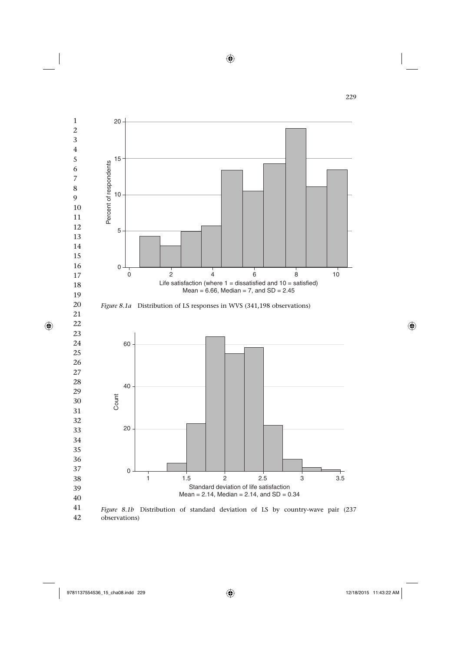



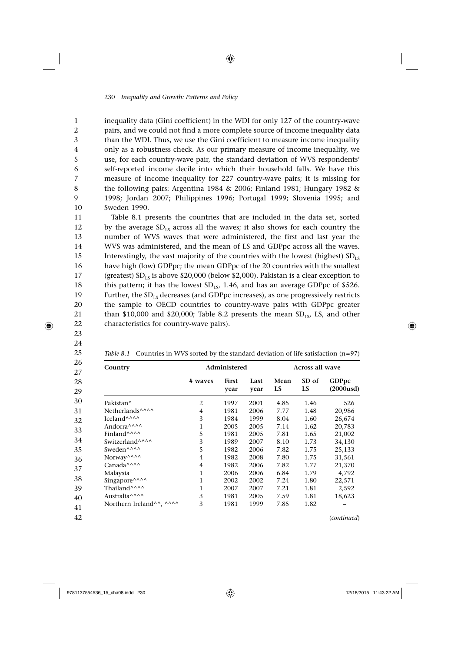inequality data (Gini coefficient) in the WDI for only 127 of the country-wave pairs, and we could not find a more complete source of income inequality data than the WDI. Thus, we use the Gini coefficient to measure income inequality only as a robustness check. As our primary measure of income inequality, we use, for each country-wave pair, the standard deviation of WVS respondents' self-reported income decile into which their household falls. We have this measure of income inequality for 227 country-wave pairs; it is missing for the following pairs: Argentina 1984 & 2006; Finland 1981; Hungary 1982 & 1998; Jordan 2007; Philippines 1996; Portugal 1999; Slovenia 1995; and Sweden 1990.

⊕

Table 8.1 presents the countries that are included in the data set, sorted by the average  $SD_{LS}$  across all the waves; it also shows for each country the number of WVS waves that were administered, the first and last year the WVS was administered, and the mean of LS and GDPpc across all the waves. Interestingly, the vast majority of the countries with the lowest (highest)  $SD_{LS}$ have high (low) GDPpc; the mean GDPpc of the 20 countries with the smallest (greatest)  $SD_{LS}$  is above \$20,000 (below \$2,000). Pakistan is a clear exception to this pattern; it has the lowest  $SD_{LS}$ , 1.46, and has an average GDPpc of \$526. Further, the  $SD_{LS}$  decreases (and GDPpc increases), as one progressively restricts the sample to OECD countries to country-wave pairs with GDPpc greater than \$10,000 and \$20,000; Table 8.2 presents the mean  $SD_{LS}$ , LS, and other characteristics for country-wave pairs).



⊕

|  |  |  | <i>Table 8.1</i> Countries in WVS sorted by the standard deviation of life satisfaction $(n=97)$ |  |
|--|--|--|--------------------------------------------------------------------------------------------------|--|
|--|--|--|--------------------------------------------------------------------------------------------------|--|

| Country                               |                | Administered         |              |            | Across all wave |                           |
|---------------------------------------|----------------|----------------------|--------------|------------|-----------------|---------------------------|
|                                       | # waves        | <b>First</b><br>year | Last<br>year | Mean<br>LS | SD of<br>LS     | <b>GDPpc</b><br>(2000usd) |
| Pakistan^                             | 2              | 1997                 | 2001         | 4.85       | 1.46            | 526                       |
| Netherlands <sup>^^^^</sup>           | 4              | 1981                 | 2006         | 7.77       | 1.48            | 20,986                    |
| Iceland <sup>^^^^</sup>               | 3              | 1984                 | 1999         | 8.04       | 1.60            | 26,674                    |
| Andorra^^^^                           | 1              | 2005                 | 2005         | 7.14       | 1.62            | 20,783                    |
| Finland^^^^                           | 5              | 1981                 | 2005         | 7.81       | 1.65            | 21,002                    |
| Switzerland^^^^                       | 3              | 1989                 | 2007         | 8.10       | 1.73            | 34,130                    |
| Sweden^^^^                            | 5              | 1982                 | 2006         | 7.82       | 1.75            | 25,133                    |
| Norway^^^^                            | 4              | 1982                 | 2008         | 7.80       | 1.75            | 31,561                    |
| Canada <sup>^^^^</sup>                | $\overline{4}$ | 1982                 | 2006         | 7.82       | 1.77            | 21,370                    |
| Malaysia                              | 1              | 2006                 | 2006         | 6.84       | 1.79            | 4,792                     |
| Singapore^^^^                         | 1              | 2002                 | 2002         | 7.24       | 1.80            | 22,571                    |
| Thailand <sup>^^^^</sup>              | 1              | 2007                 | 2007         | 7.21       | 1.81            | 2,592                     |
| Australia <sup>^^^^</sup>             | 3              | 1981                 | 2005         | 7.59       | 1.81            | 18,623                    |
| Northern Ireland <sup>^^</sup> , ^^^^ | 3              | 1981                 | 1999         | 7.85       | 1.82            |                           |

(*continued*)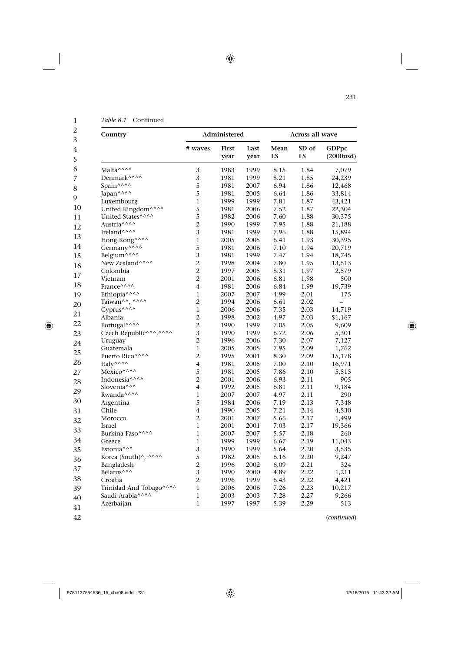| Table 8.1<br>Continued |
|------------------------|
|                        |

| Country                        |                         | Administered  |              |            | Across all wave |                    |
|--------------------------------|-------------------------|---------------|--------------|------------|-----------------|--------------------|
|                                | # waves                 | First<br>year | Last<br>year | Mean<br>LS | SD of<br>LS     | GDPpc<br>(2000usd) |
| Malta^^^^                      | 3                       | 1983          | 1999         | 8.15       | 1.84            | 7,079              |
| Denmark^^^^                    | 3                       | 1981          | 1999         | 8.21       | 1.85            | 24,239             |
| Spain^^^^                      | 5                       | 1981          | 2007         | 6.94       | 1.86            | 12,468             |
| Japan^^^^^                     | 5                       | 1981          | 2005         | 6.64       | 1.86            | 33,814             |
| Luxembourg                     | $\mathbf{1}$            | 1999          | 1999         | 7.81       | 1.87            | 43,421             |
| United Kingdom <sup>^^^^</sup> | 5                       | 1981          | 2006         | 7.52       | 1.87            | 22,304             |
| United States^^^^              | 5                       | 1982          | 2006         | 7.60       | 1.88            | 30,375             |
| Austria^^^^                    | $\overline{c}$          | 1990          | 1999         | 7.95       | 1.88            | 21,188             |
| Ireland^^^^                    | 3                       | 1981          | 1999         | 7.96       | 1.88            | 15,894             |
| Hong Kong^^^^                  | $\mathbf{1}$            | 2005          | 2005         | 6.41       | 1.93            | 30,395             |
| Germany <sup>^^^^</sup>        | 5                       | 1981          | 2006         | 7.10       | 1.94            | 20,719             |
| Belgium^^^^                    | 3                       | 1981          | 1999         | 7.47       | 1.94            | 18,745             |
| New Zealand^^^^                | $\overline{c}$          | 1998          | 2004         | 7.80       | 1.95            | 13,513             |
| Colombia                       | $\overline{c}$          | 1997          | 2005         | 8.31       | 1.97            | 2,579              |
| Vietnam                        | $\overline{c}$          | 2001          | 2006         | 6.81       | 1.98            | 500                |
| France^^^^^                    | $\overline{4}$          | 1981          | 2006         | 6.84       | 1.99            | 19,739             |
| Ethiopia^^^^                   | $\mathbf{1}$            | 2007          | 2007         | 4.99       | 2.01            | 175                |
| Taiwan^^, ^^^^^                | $\overline{c}$          | 1994          | 2006         | 6.61       | 2.02            | $\equiv$           |
| Cyprus <sup>^^^^</sup>         | $\mathbf{1}$            | 2006          | 2006         | 7.35       | 2.03            | 14,719             |
| Albania                        | $\overline{c}$          | 1998          | 2002         | 4.97       | 2.03            | \$1,167            |
| Portugal <sup>^^^^</sup>       | $\overline{c}$          | 1990          | 1999         | 7.05       | 2.05            | 9,609              |
| Czech Republic^^^,^^^^^        | 3                       | 1990          | 1999         | 6.72       | 2.06            | 5,301              |
| Uruguay                        | $\overline{c}$          | 1996          | 2006         | 7.30       | 2.07            | 7,127              |
| Guatemala                      | $\mathbf{1}$            | 2005          | 2005         | 7.95       | 2.09            | 1,762              |
| Puerto Rico^^^^                | $\overline{c}$          | 1995          | 2001         | 8.30       | 2.09            | 15,178             |
| Italy^^^^                      | $\overline{4}$          | 1981          | 2005         | 7.00       | 2.10            | 16,971             |
| Mexico^^^^^                    | 5                       | 1981          | 2005         | 7.86       | 2.10            | 5,515              |
| Indonesia <sup>^^^^</sup>      | $\overline{c}$          | 2001          | 2006         | 6.93       | 2.11            | 905                |
| Slovenia <sup>^^^</sup>        | 4                       | 1992          | 2005         | 6.81       | 2.11            | 9,184              |
| Rwanda^^^^                     | $\mathbf{1}$            | 2007          | 2007         | 4.97       | 2.11            | 290                |
| Argentina                      | 5                       | 1984          | 2006         | 7.19       | 2.13            | 7,348              |
| Chile                          | $\overline{\mathbf{4}}$ | 1990          | 2005         | 7.21       | 2.14            | 4,530              |
| Morocco                        | $\overline{c}$          | 2001          | 2007         | 5.66       | 2.17            | 1,499              |
| Israel                         | $\mathbf{1}$            | 2001          | 2001         | 7.03       | 2.17            | 19,366             |
| Burkina Faso^^^^^              | $\mathbf{1}$            | 2007          | 2007         | 5.57       | 2.18            | 260                |
| Greece                         | $\mathbf{1}$            | 1999          | 1999         | 6.67       | 2.19            | 11,043             |
| Estonia^^^                     | 3                       | 1990          | 1999         | 5.64       | 2.20            | 3,535              |
| Korea (South)^, ^^^^           | 5                       | 1982          | 2005         | 6.16       | 2.20            | 9,247              |
| Bangladesh                     | $\overline{2}$          | 1996          | 2002         | 6.09       | 2.21            | 324                |
| Belarus^^^                     | 3                       | 1990          | 2000         | 4.89       | 2.22            | 1,211              |
| Croatia                        | $\overline{c}$          | 1996          | 1999         | 6.43       | 2.22            | 4,421              |
| Trinidad And Tobago^^^^^       | $\mathbf{1}$            | 2006          | 2006         | 7.26       | 2.23            | 10,217             |
| Saudi Arabia^^^^               | $\mathbf{1}$            | 2003          | 2003         | 7.28       | 2.27            | 9,266              |
| Azerbaijan                     | $\mathbf{1}$            | 1997          | 1997         | 5.39       | 2.29            | 513                |

42

 $\bigoplus$ 

(*continued*)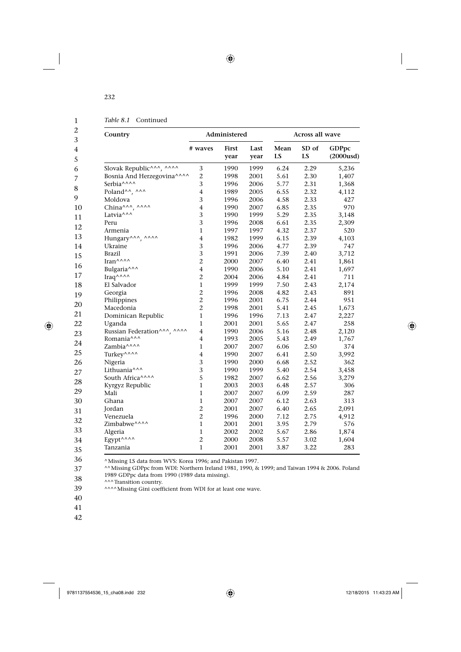# 232

# 1 *Table 8.1* Continued

| Country                      |                         | Administered  |              |            | Across all wave |                    |
|------------------------------|-------------------------|---------------|--------------|------------|-----------------|--------------------|
|                              | # waves                 | First<br>year | Last<br>year | Mean<br>LS | SD of<br>LS     | GDPpc<br>(2000usd) |
| Slovak Republic^^^, ^^^^     | 3                       | 1990          | 1999         | 6.24       | 2.29            | 5,236              |
| Bosnia And Herzegovina^^^^   | $\overline{c}$          | 1998          | 2001         | 5.61       | 2.30            | 1,407              |
| Serbia^^^^                   | 3                       | 1996          | 2006         | 5.77       | 2.31            | 1,368              |
| Poland <sup>^^</sup> , ^^^   | 4                       | 1989          | 2005         | 6.55       | 2.32            | 4,112              |
| Moldova                      | 3                       | 1996          | 2006         | 4.58       | 2.33            | 427                |
| China^^^, ^^^^^              | $\overline{4}$          | 1990          | 2007         | 6.85       | 2.35            | 970                |
| Latvia^^^                    | 3                       | 1990          | 1999         | 5.29       | 2.35            | 3,148              |
| Peru                         | 3                       | 1996          | 2008         | 6.61       | 2.35            | 2,309              |
| Armenia                      | $\mathbf{1}$            | 1997          | 1997         | 4.32       | 2.37            | 520                |
| Hungary^^^, ^^^^^            | $\overline{\mathbf{4}}$ | 1982          | 1999         | 6.15       | 2.39            | 4,103              |
| Ukraine                      | 3                       | 1996          | 2006         | 4.77       | 2.39            | 747                |
| Brazil                       | 3                       | 1991          | 2006         | 7.39       | 2.40            | 3,712              |
| Iran^^^^^                    | $\overline{c}$          | 2000          | 2007         | 6.40       | 2.41            | 1,861              |
| Bulgaria^^^                  | $\overline{4}$          | 1990          | 2006         | 5.10       | 2.41            | 1,697              |
| Iraq^^^^^                    | $\overline{c}$          | 2004          | 2006         | 4.84       | 2.41            | 711                |
| El Salvador                  | $\mathbf{1}$            | 1999          | 1999         | 7.50       | 2.43            | 2,174              |
| Georgia                      | $\overline{2}$          | 1996          | 2008         | 4.82       | 2.43            | 891                |
| Philippines                  | $\overline{c}$          | 1996          | 2001         | 6.75       | 2.44            | 951                |
| Macedonia                    | $\overline{c}$          | 1998          | 2001         | 5.41       | 2.45            | 1,673              |
| Dominican Republic           | $\mathbf{1}$            | 1996          | 1996         | 7.13       | 2.47            | 2,227              |
| Uganda                       | $\mathbf{1}$            | 2001          | 2001         | 5.65       | 2.47            | 258                |
| Russian Federation ^^^, ^^^^ | 4                       | 1990          | 2006         | 5.16       | 2.48            | 2,120              |
| Romania^^^                   | 4                       | 1993          | 2005         | 5.43       | 2.49            | 1,767              |
| Zambia^^^^                   | $\mathbf{1}$            | 2007          | 2007         | 6.06       | 2.50            | 374                |
| Turkey^^^^                   | 4                       | 1990          | 2007         | 6.41       | 2.50            | 3,992              |
| Nigeria                      | 3                       | 1990          | 2000         | 6.68       | 2.52            | 362                |
| Lithuania <sup>^^^</sup>     | 3                       | 1990          | 1999         | 5.40       | 2.54            | 3,458              |
| South Africa^^^^             | 5                       | 1982          | 2007         | 6.62       | 2.56            | 3,279              |
| Kyrgyz Republic              | $\mathbf{1}$            | 2003          | 2003         | 6.48       | 2.57            | 306                |
| Mali                         | $\mathbf{1}$            | 2007          | 2007         | 6.09       | 2.59            | 287                |
| Ghana                        | $\mathbf{1}$            | 2007          | 2007         | 6.12       | 2.63            | 313                |
| Jordan                       | $\overline{c}$          | 2001          | 2007         | 6.40       | 2.65            | 2,091              |
| Venezuela                    | $\overline{c}$          | 1996          | 2000         | 7.12       | 2.75            | 4,912              |
| Zimbabwe^^^^                 | $\mathbf{1}$            | 2001          | 2001         | 3.95       | 2.79            | 576                |
| Algeria                      | $\mathbf{1}$            | 2002          | 2002         | 5.67       | 2.86            | 1,874              |
| Egypt^^^^^                   | $\overline{2}$          | 2000          | 2008         | 5.57       | 3.02            | 1,604              |
| Tanzania                     | $\mathbf{1}$            | 2001          | 2001         | 3.87       | 3.22            | 283                |

^ Missing LS data from WVS: Korea 1996; and Pakistan 1997.

^^ Missing GDPpc from WDI: Northern Ireland 1981, 1990, & 1999; and Taiwan 1994 & 2006. Poland 1989 GDPpc data from 1990 (1989 data missing).

^^^ Transition country. 38

^^^^ Missing Gini coefficient from WDI for at least one wave.

37

 $\bigoplus$ 

42

<sup>39</sup> 40

<sup>41</sup>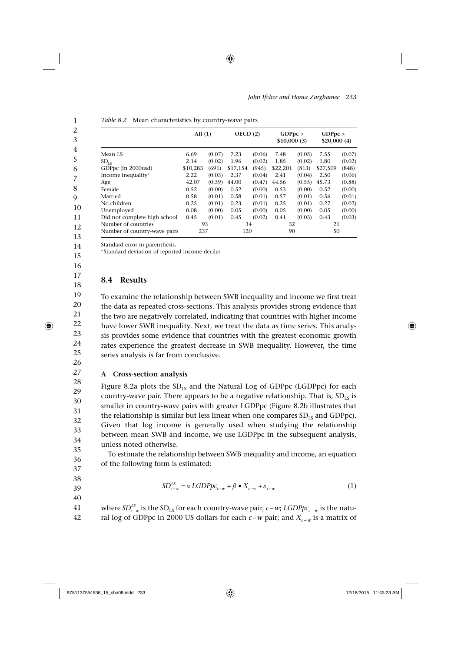|                                | All $(1)$ |        | OECD(2)  |        | GDPpc ><br>\$10,000(3) |        | GDPpc<br>\$20,000(4) |        |
|--------------------------------|-----------|--------|----------|--------|------------------------|--------|----------------------|--------|
| Mean LS                        | 6.69      | (0.07) | 7.23     | (0.06) | 7.48                   | (0.05) | 7.55                 | (0.07) |
| $SD_{TS}$                      | 2.14      | (0.02) | 1.96     | (0.02) | 1.85                   | (0.02) | 1.80                 | (0.02) |
| GDPpc (in 2000usd)             | \$10,283  | (691)  | \$17,154 | (945)  | \$22,201               | (813)  | \$27,509             | (848)  |
| Income inequality <sup>+</sup> | 2.22      | (0.03) | 2.37     | (0.04) | 2.41                   | (0.04) | 2.50                 | (0.06) |
| Age                            | 42.07     | (0.39) | 44.00    | (0.47) | 44.56                  | (0.55) | 45.73                | (0.88) |
| Female                         | 0.52      | (0.00) | 0.52     | (0.00) | 0.53                   | (0.00) | 0.52                 | (0.00) |
| Married                        | 0.58      | (0.01) | 0.58     | (0.01) | 0.57                   | (0.01) | 0.56                 | (0.01) |
| No children                    | 0.25      | (0.01) | 0.23     | (0.01) | 0.25                   | (0.01) | 0.27                 | (0.02) |
| Unemployed                     | 0.08      | (0.00) | 0.05     | (0.00) | 0.05                   | (0.00) | 0.05                 | (0.00) |
| Did not complete high school   | 0.45      | (0.01) | 0.45     | (0.02) | 0.41                   | (0.03) | 0.43                 | (0.03) |
| Number of countries            | 93        |        | 34       |        | 32                     |        | 21                   |        |
| Number of country-wave pairs   | 237       |        | 120      |        | 90                     |        | 50                   |        |

*Table 8.2* Mean characteristics by country-wave pairs

Standard error in parenthesis.

<sup>+</sup> Standard deviation of reported income deciles

### **8.4 Results**

To examine the relationship between SWB inequality and income we first treat the data as repeated cross-sections. This analysis provides strong evidence that the two are negatively correlated, indicating that countries with higher income have lower SWB inequality. Next, we treat the data as time series. This analysis provides some evidence that countries with the greatest economic growth rates experience the greatest decrease in SWB inequality. However, the time series analysis is far from conclusive.

### **A Cross-section analysis**

Figure 8.2a plots the  $SD_{LS}$  and the Natural Log of GDPpc (LGDPpc) for each country-wave pair. There appears to be a negative relationship. That is,  $SD_{LS}$  is smaller in country-wave pairs with greater LGDPpc (Figure 8.2b illustrates that the relationship is similar but less linear when one compares  $SD_{LS}$  and  $GDPpc$ ). Given that log income is generally used when studying the relationship between mean SWB and income, we use LGDPpc in the subsequent analysis, unless noted otherwise. 28 30 32 33 34 35

To estimate the relationship between SWB inequality and income, an equation of the following form is estimated:

$$
\frac{38}{39}
$$

36 37

29

⊕

31

40

$$
SD_{c-w}^{LS} = a LGDPpc_{c-w} + \beta \bullet X_{c-w} + \varepsilon_{c-w}
$$
 (1)

*where SD<sup>LS</sup><sub>c−w</sub> is the SD<sub>LS</sub> for each country-wave pair, <i>c−w; LGDPpc<sub>c−w</sub>* is the natural log of GDPpc in 2000 US dollars for each *c*−*w* pair; and  $X_{c-w}$  is a matrix of 41 42

9781137554536\_15\_cha08.indd 233 781137554536\_15\_cha08.indd 233 781137554536\_15\_cha08.indd 12/18/2015 11:43:23 AM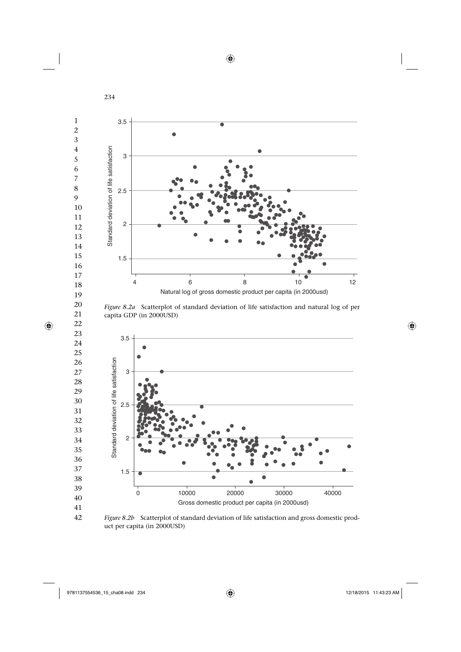



*Figure 8.2a* Scatterplot of standard deviation of life satisfaction and natural log of per capita GDP (in 2000USD)



*Figure 8.2b* Scatterplot of standard deviation of life satisfaction and gross domestic product per capita (in 2000USD) 

 $\bigoplus$ 

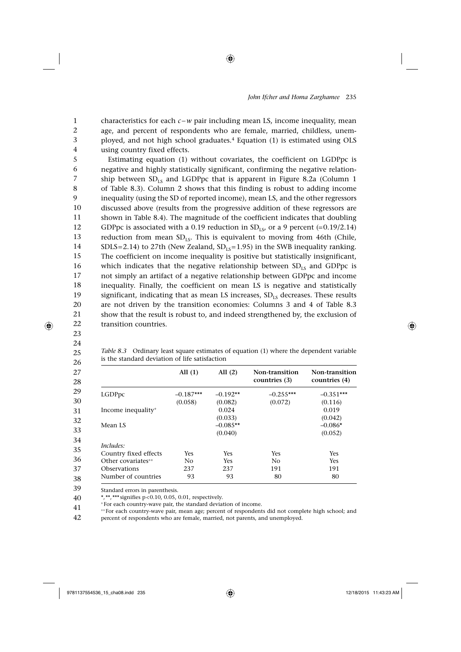characteristics for each *c*−*w* pair including mean LS, income inequality, mean age, and percent of respondents who are female, married, childless, unemployed, and not high school graduates.<sup>4</sup> Equation (1) is estimated using OLS using country fixed effects.

⊕

Estimating equation (1) without covariates, the coefficient on LGDPpc is negative and highly statistically significant, confirming the negative relationship between  $SD_{LS}$  and LGDPpc that is apparent in Figure 8.2a (Column 1 of Table 8.3). Column 2 shows that this finding is robust to adding income inequality (using the SD of reported income), mean LS, and the other regressors discussed above (results from the progressive addition of these regressors are shown in Table 8.4). The magnitude of the coefficient indicates that doubling GDPpc is associated with a 0.19 reduction in  $SD_{LS}$ , or a 9 percent (=0.19/2.14) reduction from mean  $SD_{LS}$ . This is equivalent to moving from 46th (Chile, SDLS=2.14) to 27th (New Zealand,  $SD_{LS}$ =1.95) in the SWB inequality ranking. The coefficient on income inequality is positive but statistically insignificant, which indicates that the negative relationship between  $SD_{LS}$  and GDPpc is not simply an artifact of a negative relationship between GDPpc and income inequality. Finally, the coefficient on mean LS is negative and statistically significant, indicating that as mean LS increases,  $SD_{LS}$  decreases. These results are not driven by the transition economies: Columns 3 and 4 of Table 8.3 show that the result is robust to, and indeed strengthened by, the exclusion of transition countries. 9 10 11 12 13 14 15 16 17 18 19 20 21 22



⊕

25 26

> *Table 8.3* Ordinary least square estimates of equation (1) where the dependent variable is the standard deviation of life satisfaction

|                                | All $(1)$   | All $(2)$  | Non-transition<br>countries (3) | Non-transition<br>countries (4) |
|--------------------------------|-------------|------------|---------------------------------|---------------------------------|
| LGDPpc                         | $-0.187***$ | $-0.192**$ | $-0.255***$                     | $-0.351***$                     |
|                                | (0.058)     | (0.082)    | (0.072)                         | (0.116)                         |
| Income inequality <sup>+</sup> |             | 0.024      |                                 | 0.019                           |
|                                |             | (0.033)    |                                 | (0.042)                         |
| Mean LS                        |             | $-0.085**$ |                                 | $-0.086*$                       |
|                                |             | (0.040)    |                                 | (0.052)                         |
| Includes:                      |             |            |                                 |                                 |
| Country fixed effects          | Yes         | Yes        | Yes                             | Yes                             |
| Other covariates $^{++}$       | No          | Yes        | N <sub>0</sub>                  | Yes                             |
| <b>Observations</b>            | 237         | 237        | 191                             | 191                             |
| Number of countries            | 93          | 93         | 80                              | 80                              |

Standard errors in parenthesis. 39

\*, \*\*, \*\*\* signifies  $p < 0.10$ , 0.05, 0.01, respectively. 40

<sup>+</sup> For each country-wave pair, the standard deviation of income.

++ For each country-wave pair, mean age; percent of respondents did not complete high school; and 41

percent of respondents who are female, married, not parents, and unemployed. 42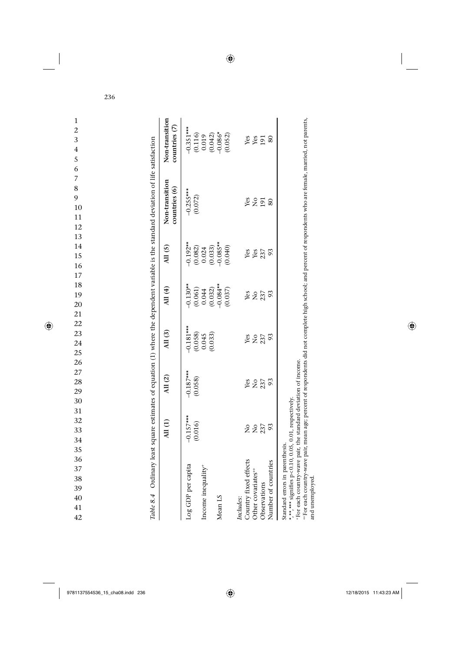$\bigoplus$ 

Table 8.4 Ordinary least square estimates of equation (1) where the dependent variable is the standard deviation of life satisfaction *Table 8.4* Ordinary least square estimates of equation (1) where the dependent variable is the standard deviation of life satisfaction

|                                                                         | All (1)                     | All $(2)$              | All (3)                                          | All (4)                                                                   | All (5)                                                                       | Non-transition<br>countries (6) | Non-transition<br>countries (7)                                               |
|-------------------------------------------------------------------------|-----------------------------|------------------------|--------------------------------------------------|---------------------------------------------------------------------------|-------------------------------------------------------------------------------|---------------------------------|-------------------------------------------------------------------------------|
| Log GDP per capita                                                      | $-0.157***$<br>(0.016)      | $-0.187***$<br>(0.058) |                                                  |                                                                           |                                                                               | $-0.255***$<br>(0.072)          |                                                                               |
| Income inequality <sup>+</sup>                                          |                             |                        | $-0.181***$<br>$(0.058)$<br>$0.045$<br>$(0.033)$ | $-0.130**$<br>$(0.061)$<br>$0.044$<br>$(0.032)$<br>$-0.084**$<br>$-0.037$ | $0.192**$<br>$0.082$<br>$0.024$<br>$0.033$<br>$0.065**$<br>$0.040$<br>$0.040$ |                                 | $-0.351$ ***<br>$(0.116)$<br>$(0.019)$<br>$(0.042)$<br>$(0.065)$<br>$(0.052)$ |
|                                                                         |                             |                        |                                                  |                                                                           |                                                                               |                                 |                                                                               |
| Mean <sub>LS</sub>                                                      |                             |                        |                                                  |                                                                           |                                                                               |                                 |                                                                               |
|                                                                         |                             |                        |                                                  |                                                                           |                                                                               |                                 |                                                                               |
| Includes:                                                               |                             |                        |                                                  |                                                                           |                                                                               |                                 |                                                                               |
| Country fixed effects                                                   |                             |                        |                                                  |                                                                           |                                                                               |                                 |                                                                               |
| Other covariates <sup>++</sup>                                          |                             |                        |                                                  |                                                                           |                                                                               |                                 |                                                                               |
| Observations                                                            | 22558                       | <b>ES 257</b><br>257   | <b>ES</b><br>237<br>23                           | <b>ES</b><br>237<br>93                                                    | Yes<br>Yes<br>237                                                             | <b>ESSE</b>                     | <b>Yes</b><br>29158                                                           |
| Number of countries                                                     |                             |                        |                                                  |                                                                           |                                                                               |                                 |                                                                               |
| hesis.<br>Standard errors in parent<br>*,**, *** signifies $p < 0.10$ , | , respectively<br>0.05, 0.0 |                        |                                                  |                                                                           |                                                                               |                                 |                                                                               |

 $\bigoplus$ 

 $^{+\mathrm{F}}$  For each country-wave pair, mean age; percent of respondents did not complete high school; and percent of respondents who are female, married, not parents, + For each country-wave pair, the standard deviation of income. and unemployed.

236

 $\mathbf{1}$ 

 $\bigoplus$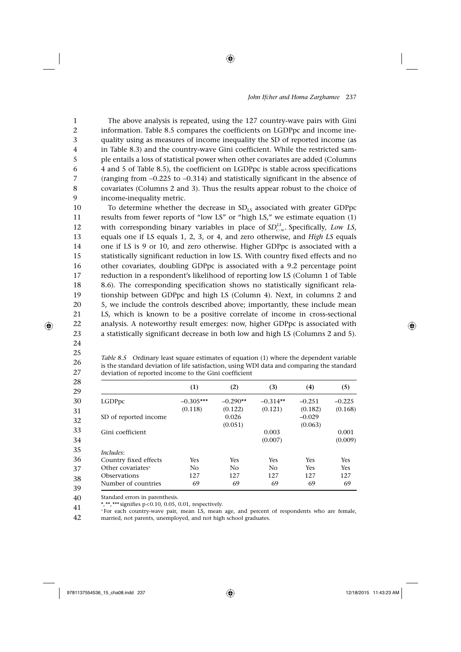The above analysis is repeated, using the 127 country-wave pairs with Gini information. Table 8.5 compares the coefficients on LGDPpc and income inequality using as measures of income inequality the SD of reported income (as in Table 8.3) and the country-wave Gini coefficient. While the restricted sample entails a loss of statistical power when other covariates are added (Columns 4 and 5 of Table 8.5), the coefficient on LGDPpc is stable across specifications (ranging from −0.225 to −0.314) and statistically significant in the absence of covariates (Columns 2 and 3). Thus the results appear robust to the choice of income-inequality metric. 1 2 3 4 5 6 7 8 9

⊕

To determine whether the decrease in  $SD<sub>1S</sub>$  associated with greater GDPpc results from fewer reports of "low LS" or "high LS," we estimate equation (1) with corresponding binary variables in place of  $SD_{c-w}^{LS}$ . Specifically, *Low LS*, equals one if LS equals 1, 2, 3, or 4, and zero otherwise, and *High LS* equals one if LS is 9 or 10, and zero otherwise. Higher GDPpc is associated with a statistically significant reduction in low LS. With country fixed effects and no other covariates, doubling GDPpc is associated with a 9.2 percentage point reduction in a respondent's likelihood of reporting low LS (Column 1 of Table 8.6). The corresponding specification shows no statistically significant relationship between GDPpc and high LS (Column 4). Next, in columns 2 and 5, we include the controls described above; importantly, these include mean LS, which is known to be a positive correlate of income in cross-sectional analysis. A noteworthy result emerges: now, higher GDPpc is associated with a statistically significant decrease in both low and high LS (Columns 2 and 5). 10 11 12 13 14 15 16 17 18 19 20 21 22 23 24



|                               | (1)         | (2)            | (3)            | (4)      | (5)      |
|-------------------------------|-------------|----------------|----------------|----------|----------|
| LGDPpc                        | $-0.305***$ | $-0.290**$     | $-0.314**$     | $-0.251$ | $-0.225$ |
|                               | (0.118)     | (0.122)        | (0.121)        | (0.182)  | (0.168)  |
| SD of reported income         |             | 0.026          |                | $-0.029$ |          |
|                               |             | (0.051)        |                | (0.063)  |          |
| Gini coefficient              |             |                | 0.003          |          | 0.001    |
|                               |             |                | (0.007)        |          | (0.009)  |
| Includes:                     |             |                |                |          |          |
| Country fixed effects         | Yes         | Yes            | Yes            | Yes      | Yes      |
| Other covariates <sup>+</sup> | No          | N <sub>0</sub> | N <sub>0</sub> | Yes      | Yes      |
| <b>Observations</b>           | 127         | 127            | 127            | 127      | 127      |
| Number of countries           | 69          | 69             | 69             | 69       | 69       |

Standard errors in parenthesis. 40

\*, \*\*, \*\*\* signifies  $p < 0.10$ , 0.05, 0.01, respectively.

<sup>+</sup> For each country-wave pair, mean LS, mean age, and percent of respondents who are female, married, not parents, unemployed, and not high school graduates. 41 42

25 26 27

⊕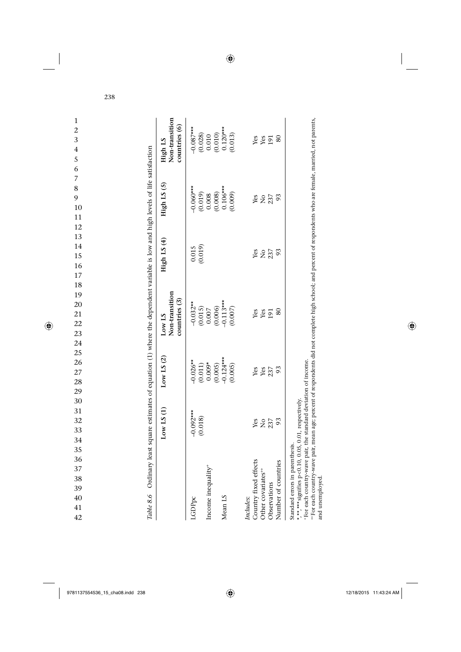|                                                                                                                                                                                             | $Low LS$ $(1)$ | Low LS $(2)$                                     | Non-transition<br>countries <sub>(3)</sub><br>Low LS | $\rm{High\;LS\; (4)}$                         | $High$ LS $(5)$                                 | Non-transition<br>countries(6)<br>High LS |
|---------------------------------------------------------------------------------------------------------------------------------------------------------------------------------------------|----------------|--------------------------------------------------|------------------------------------------------------|-----------------------------------------------|-------------------------------------------------|-------------------------------------------|
| LGDPpc                                                                                                                                                                                      | $-0.092***$    | $-0.026**$                                       | $-0.032**$                                           |                                               | $-0.060***$                                     | $-0.087***$                               |
|                                                                                                                                                                                             | (0.018)        | $\begin{array}{c} (0.011) \\ 0.009* \end{array}$ |                                                      | $\begin{array}{c} 0.015 \\ 0.019 \end{array}$ |                                                 |                                           |
| Income inequality <sup>+</sup>                                                                                                                                                              |                |                                                  | $(0.015)$<br>0.007<br>$(0.006)$<br>-0.113***         |                                               | $(0.019)$<br>$0.008$<br>$(0.008)$<br>$0.106***$ | $(0.028)$<br>0.010<br>0.010<br>0.120***   |
|                                                                                                                                                                                             |                | (0.005)                                          |                                                      |                                               |                                                 |                                           |
| Mean LS                                                                                                                                                                                     |                | $-0.124***$                                      |                                                      |                                               |                                                 |                                           |
|                                                                                                                                                                                             |                | (0.005)                                          | (0.007)                                              |                                               | (0.009)                                         | (0.013)                                   |
| Includes:                                                                                                                                                                                   |                |                                                  |                                                      |                                               |                                                 |                                           |
| S<br>Country fixed effect                                                                                                                                                                   | Yes            | Yes                                              | Yes                                                  | Yes                                           | Yes                                             | Yes                                       |
| Other covariates <sup>++</sup>                                                                                                                                                              | $\tilde{z}$    | Yes                                              | Yes                                                  | $\tilde{z}$                                   | $\frac{237}{237}$                               | Yes                                       |
| Observations                                                                                                                                                                                | 237            | 237                                              | 191                                                  | 237                                           |                                                 | 191                                       |
| Number of countries                                                                                                                                                                         | 93             | 93                                               | 80                                                   | 93                                            | 93                                              | 80                                        |
| Standard errors in parenthesis.                                                                                                                                                             |                |                                                  |                                                      |                                               |                                                 |                                           |
| *, **, *** signifies p<0.10, 0.05, 0.01, respectively.<br>"For each country-wave pair, the standard deviation of income.                                                                    |                |                                                  |                                                      |                                               |                                                 |                                           |
| $^{++}$ For each country-wave pair, mean age; percent of respondents did not complete high school; and percent of respondents who are female, married, not parents, $\,$<br>and unemployed. |                |                                                  |                                                      |                                               |                                                 |                                           |

 $\bigoplus$ 

238

 $\mathbf{1}$ 

 $\bigoplus$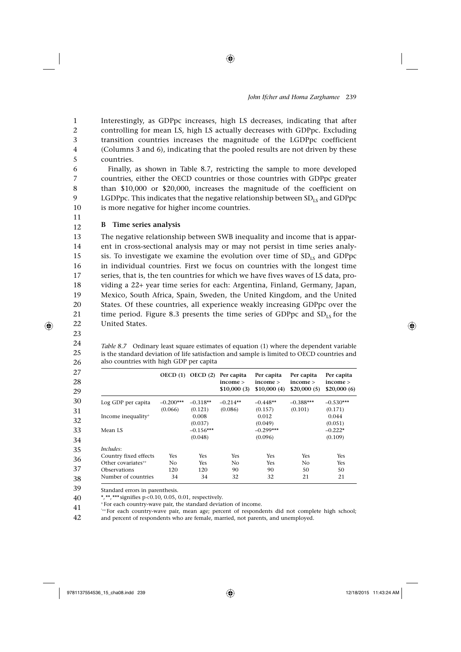Interestingly, as GDPpc increases, high LS decreases, indicating that after controlling for mean LS, high LS actually decreases with GDPpc. Excluding transition countries increases the magnitude of the LGDPpc coefficient (Columns 3 and 6), indicating that the pooled results are not driven by these countries. 1 2 3 4 5

♠

Finally, as shown in Table 8.7, restricting the sample to more developed countries, either the OECD countries or those countries with GDPpc greater than \$10,000 or \$20,000, increases the magnitude of the coefficient on LGDPpc. This indicates that the negative relationship between  $SD_{LS}$  and GDPpc is more negative for higher income countries. 9 10

#### **B Time series analysis** 12

6 7 8

11

⊕

The negative relationship between SWB inequality and income that is apparent in cross-sectional analysis may or may not persist in time series analysis. To investigate we examine the evolution over time of  $SD<sub>1s</sub>$  and GDPpc in individual countries. First we focus on countries with the longest time series, that is, the ten countries for which we have fives waves of LS data, providing a 22+ year time series for each: Argentina, Finland, Germany, Japan, Mexico, South Africa, Spain, Sweden, the United Kingdom, and the United States. Of these countries, all experience weakly increasing GDPpc over the time period. Figure 8.3 presents the time series of GDPpc and  $SD_{LS}$  for the United States. 13 14 15 16 17 18 19 20 21 22

*Table 8.7* Ordinary least square estimates of equation (1) where the dependent variable is the standard deviation of life satisfaction and sample is limited to OECD countries and also countries with high GDP per capita

|                                | OECD(1)     | OECD(2)     | Per capita<br>income ><br>\$10,000(3) | Per capita<br>income<br>\$10,000(4) | Per capita<br>income ><br>\$20,000(5) | Per capita<br>income ><br>\$20,000(6) |
|--------------------------------|-------------|-------------|---------------------------------------|-------------------------------------|---------------------------------------|---------------------------------------|
| Log GDP per capita             | $-0.200***$ | $-0.318**$  | $-0.214**$                            | $-0.448**$                          | $-0.388***$                           | $-0.530***$                           |
|                                | (0.066)     | (0.121)     | (0.086)                               | (0.157)                             | (0.101)                               | (0.171)                               |
| Income inequality <sup>+</sup> |             | 0.008       |                                       | 0.012                               |                                       | 0.044                                 |
|                                |             | (0.037)     |                                       | (0.049)                             |                                       | (0.051)                               |
| Mean LS                        |             | $-0.156***$ |                                       | $-0.299***$                         |                                       | $-0.222*$                             |
|                                |             | (0.048)     |                                       | (0.096)                             |                                       | (0.109)                               |
| Includes:                      |             |             |                                       |                                     |                                       |                                       |
| Country fixed effects          | Yes         | Yes         | <b>Yes</b>                            | Yes                                 | <b>Yes</b>                            | <b>Yes</b>                            |
| Other covariates <sup>++</sup> | No          | Yes         | No                                    | Yes                                 | N <sub>o</sub>                        | Yes                                   |
| Observations                   | 120         | 120         | 90                                    | 90                                  | 50                                    | 50                                    |
| Number of countries            | 34          | 34          | 32                                    | 32                                  | 21                                    | 21                                    |

Standard errors in parenthesis. 39

\*, \*\*, \*\*\* signifies  $p < 0.10$ , 0.05, 0.01, respectively. 40

<sup>+</sup> For each country-wave pair, the standard deviation of income.

'++ For each country-wave pair, mean age; percent of respondents did not complete high school; and percent of respondents who are female, married, not parents, and unemployed. 41 42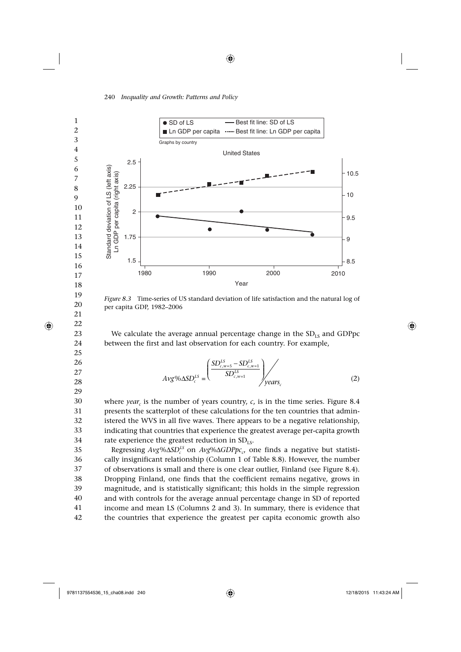



⊕

*Figure 8.3* Time-series of US standard deviation of life satisfaction and the natural log of per capita GDP, 1982–2006

We calculate the average annual percentage change in the  $SD_{LS}$  and  $GDPpc$ between the first and last observation for each country. For example,

$$
Avg\% \Delta SD_c^{LS} = \left(\frac{SD_{c,w=5}^{LS} - SD_{c,w=1}^{LS}}{SD_{c,w=1}^{LS}}\right) / \sqrt{q\arg\left(\frac{PD_{c,w=1}^{LS}}{P}\right) / q\arg\left(\frac{PD_{c,w=1}^{LS}}{P}\right) / q\arg\left(\frac{PD_{c,w=1}^{LS}}{P}\right) / q\arg\left(\frac{PD_{c,w=1}^{LS}}{P}\right) / q\arg\left(\frac{PD_{c,w=1}^{LS}}{P}\right) / q\arg\left(\frac{PD_{c,w=1}^{LS}}{P}\right) / q\arg\left(\frac{PD_{c,w=1}^{LS}}{P}\right) / q\arg\left(\frac{PD_{c,w=1}^{LS}}{P}\right) / q\arg\left(\frac{PD_{c,w=1}^{LS}}{P}\right) / q\arg\left(\frac{PD_{c,w=1}^{LS}}{P}\right) / q\arg\left(\frac{PD_{c,w=1}^{LS}}{P}\right) / q\arg\left(\frac{PD_{c,w=1}^{LS}}{P}\right) / q\arg\left(\frac{PD_{c,w=1}^{LS}}{P}\right) / q\arg\left(\frac{PD_{c,w=1}^{LS}}{P}\right) / q\arg\left(\frac{PD_{c,w=1}^{LS}}{P}\right) / q\arg\left(\frac{PD_{c,w=1}^{LS}}{P}\right) / q\arg\left(\frac{PD_{c,w=1}^{LS}}{P}\right) / q\arg\left(\frac{PD_{c,w=1}^{LS}}{P}\right) / q\arg\left(\frac{PD_{c,w=1}^{LS}}{P}\right) / q\arg\left(\frac{PD_{c,w=1}^{LS}}{P}\right) / q\arg\left(\frac{PD_{c,w=1}^{LS}}{P}\right) / q\arg\left(\frac{PD_{c,w=1}^{LS}}{P}\right) / q\arg\left(\frac{PD_{c,w=1}^{LS}}{P}\right) / q\arg\left(\frac{PD_{c,w=1}^{LS}}{P}\right) / q\arg\left(\frac{PD_{c,w=1}^{LS}}{P}\right) / q\arg\left(\frac{PD_{c,w=1}^{LS}}{P}\right) / q\arg\left(\frac{PD_{c,w=1}^{LS}}{P}\right) / q\arg\left(\frac{PD_{c,w=1}^{LS}}{P}\right) / q\arg\left(\frac{PD_{c,w=1}^{LS}}{P}\right) / q\arg\left(\frac{
$$

where *year<sub>c</sub>* is the number of years country,  $c$ , is in the time series. Figure 8.4 presents the scatterplot of these calculations for the ten countries that administered the WVS in all five waves. There appears to be a negative relationship, indicating that countries that experience the greatest average per-capita growth rate experience the greatest reduction in  $SD<sub>LS</sub>$ . 30 31 32 33 34

Regressing  $Avg\%ΔSD_c^{LS}$  on  $Avg\%ΔGDPpc_c$ , one finds a negative but statistically insignificant relationship (Column 1 of Table 8.8). However, the number of observations is small and there is one clear outlier, Finland (see Figure 8.4). Dropping Finland, one finds that the coefficient remains negative, grows in magnitude, and is statistically significant; this holds in the simple regression and with controls for the average annual percentage change in SD of reported income and mean LS (Columns 2 and 3). In summary, there is evidence that the countries that experience the greatest per capita economic growth also 35 36 37 38 39 40 41 42

⊕

9781137554536\_15\_cha08.indd 240 781137554536\_15\_cha08.indd 240 781137554536\_15\_cha08.indd 12/18/2015 11:43:24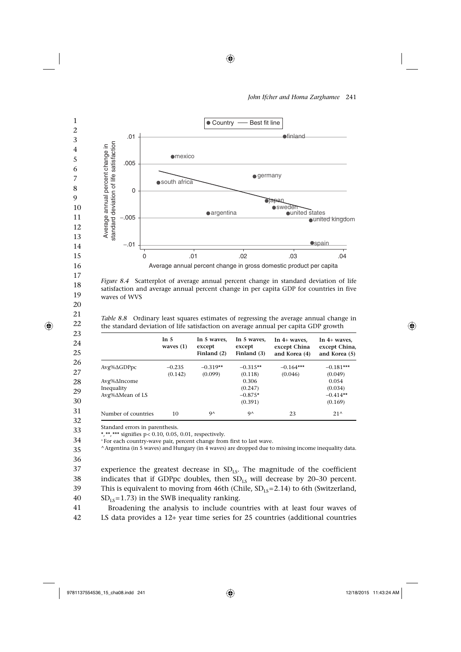

*Figure 8.4* Scatterplot of average annual percent change in standard deviation of life satisfaction and average annual percent change in per capita GDP for countries in five waves of WVS

*Table 8.8* Ordinary least squares estimates of regressing the average annual change in the standard deviation of life satisfaction on average annual per capita GDP growth

|                     | In $5$<br>waves $(1)$ | In 5 waves,<br>except<br>Finland (2) | In 5 waves,<br>except<br>Finland (3) | In $4+$ waves,<br>except China<br>and Korea (4) | In $4+$ waves,<br>except China,<br>and Korea (5) |
|---------------------|-----------------------|--------------------------------------|--------------------------------------|-------------------------------------------------|--------------------------------------------------|
| Avg%∆GDPpc          | $-0.235$              | $-0.319**$                           | $-0.315**$                           | $-0.164***$                                     | $-0.181***$                                      |
|                     | (0.142)               | (0.099)                              | (0.118)                              | (0.046)                                         | (0.049)                                          |
| Avg%∆Income         |                       |                                      | 0.306                                |                                                 | 0.054                                            |
| Inequality          |                       |                                      | (0.247)                              |                                                 | (0.034)                                          |
| Avg%∆Mean of LS     |                       |                                      | $-0.875*$                            |                                                 | $-0.414**$                                       |
|                     |                       |                                      | (0.391)                              |                                                 | (0.169)                                          |
| Number of countries | 10                    | q٨                                   | q٨                                   | 23                                              | $21^{\wedge}$                                    |

Standard errors in parenthesis. 32

 $*, **$ , \*\*\* signifies  $p < 0.10$ , 0.05, 0.01, respectively. 33

<sup>+</sup> For each country-wave pair, percent change from first to last wave. 34

^ Argentina (in 5 waves) and Hungary (in 4 waves) are dropped due to missing income inequality data. 35

36

⊕

experience the greatest decrease in  $SD_{LS}$ . The magnitude of the coefficient indicates that if GDPpc doubles, then  $SD_{LS}$  will decrease by 20-30 percent. This is equivalent to moving from 46th (Chile,  $SD_{LS} = 2.14$ ) to 6th (Switzerland,  $SD<sub>LS</sub>= 1.73$ ) in the SWB inequality ranking. 37 38 39 40

Broadening the analysis to include countries with at least four waves of LS data provides a 12+ year time series for 25 countries (additional countries 41 42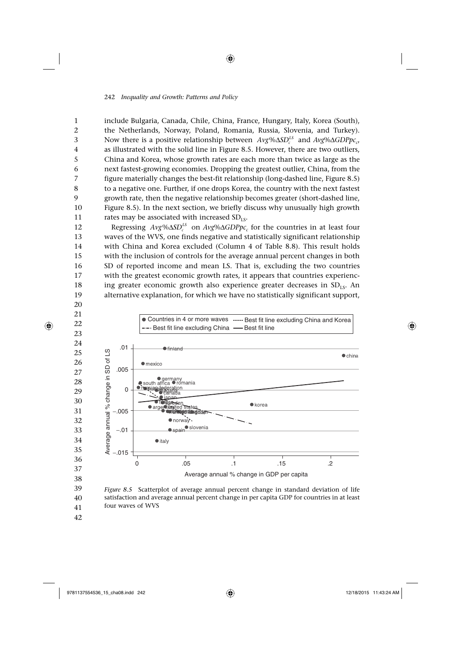include Bulgaria, Canada, Chile, China, France, Hungary, Italy, Korea (South), the Netherlands, Norway, Poland, Romania, Russia, Slovenia, and Turkey). Now there is a positive relationship between  $Avg\%ΔSD<sup>LS</sup>$  and  $Avg\%ΔGDPpc<sub>cf</sub>$ as illustrated with the solid line in Figure 8.5. However, there are two outliers, China and Korea, whose growth rates are each more than twice as large as the next fastest-growing economies. Dropping the greatest outlier, China, from the figure materially changes the best-fit relationship (long-dashed line, Figure 8.5) to a negative one. Further, if one drops Korea, the country with the next fastest growth rate, then the negative relationship becomes greater (short-dashed line, Figure 8.5). In the next section, we briefly discuss why unusually high growth rates may be associated with increased  $SD<sub>1s</sub>$ . 10 11

⊕

Regressing  $Avg\% \Delta SD_c^{LS}$  on  $Avg\% \Delta GDPpc_c$  for the countries in at least four waves of the WVS, one finds negative and statistically significant relationship with China and Korea excluded (Column 4 of Table 8.8). This result holds with the inclusion of controls for the average annual percent changes in both SD of reported income and mean LS. That is, excluding the two countries with the greatest economic growth rates, it appears that countries experiencing greater economic growth also experience greater decreases in  $SD<sub>1s</sub>$ . An alternative explanation, for which we have no statistically significant support,



*Figure 8.5* Scatterplot of average annual percent change in standard deviation of life satisfaction and average annual percent change in per capita GDP for countries in at least four waves of WVS

41 42

⊕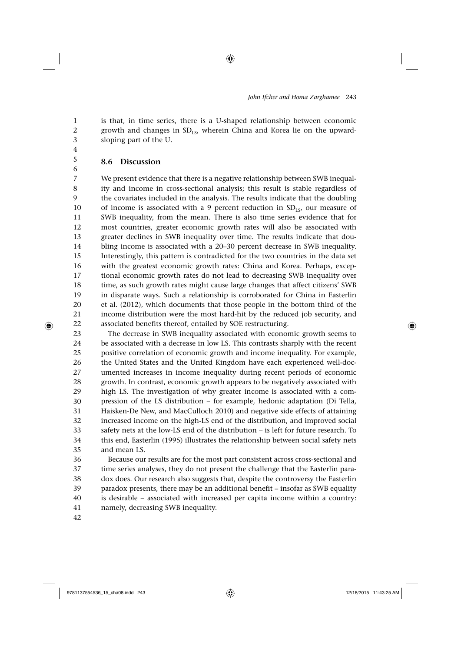is that, in time series, there is a U-shaped relationship between economic growth and changes in  $SD_{LS}$ , wherein China and Korea lie on the upwardsloping part of the U.

# **8.6 Discussion**

We present evidence that there is a negative relationship between SWB inequality and income in cross-sectional analysis; this result is stable regardless of the covariates included in the analysis. The results indicate that the doubling of income is associated with a 9 percent reduction in  $SD<sub>1S</sub>$ , our measure of SWB inequality, from the mean. There is also time series evidence that for most countries, greater economic growth rates will also be associated with greater declines in SWB inequality over time. The results indicate that doubling income is associated with a 20–30 percent decrease in SWB inequality. Interestingly, this pattern is contradicted for the two countries in the data set with the greatest economic growth rates: China and Korea. Perhaps, exceptional economic growth rates do not lead to decreasing SWB inequality over time, as such growth rates might cause large changes that affect citizens' SWB in disparate ways. Such a relationship is corroborated for China in Easterlin et al. (2012), which documents that those people in the bottom third of the income distribution were the most hard-hit by the reduced job security, and associated benefits thereof, entailed by SOE restructuring. 10 11 12 13 14 15 16 17 18 19 20 21 22

The decrease in SWB inequality associated with economic growth seems to be associated with a decrease in low LS. This contrasts sharply with the recent positive correlation of economic growth and income inequality. For example, the United States and the United Kingdom have each experienced well-documented increases in income inequality during recent periods of economic growth. In contrast, economic growth appears to be negatively associated with high LS. The investigation of why greater income is associated with a compression of the LS distribution – for example, hedonic adaptation (Di Tella, Haisken-De New, and MacCulloch 2010) and negative side effects of attaining increased income on the high-LS end of the distribution, and improved social safety nets at the low-LS end of the distribution – is left for future research. To this end, Easterlin (1995) illustrates the relationship between social safety nets and mean LS. 23 24 25 26 27 28 29 30 31 32 33 34 35

Because our results are for the most part consistent across cross-sectional and time series analyses, they do not present the challenge that the Easterlin paradox does. Our research also suggests that, despite the controversy the Easterlin paradox presents, there may be an additional benefit – insofar as SWB equality is desirable – associated with increased per capita income within a country: namely, decreasing SWB inequality. 36 37 38 39 40 41

42

◈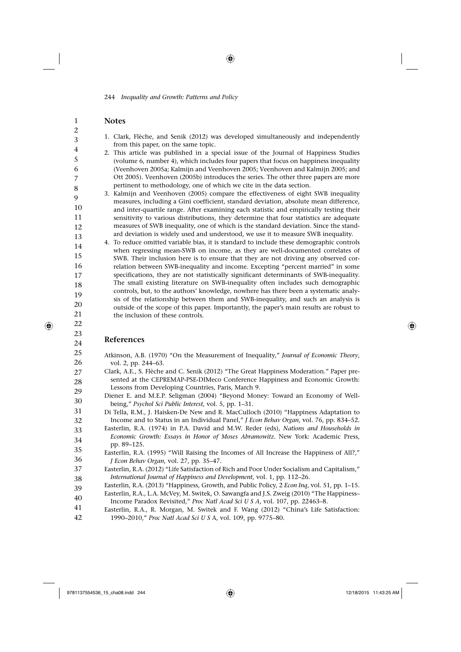### **Notes**

⊕

1. Clark, Flèche, and Senik (2012) was developed simultaneously and independently from this paper, on the same topic.

⊕

2. This article was published in a special issue of the Journal of Happiness Studies (volume 6, number 4), which includes four papers that focus on happiness inequality (Veenhoven 2005a; Kalmijn and Veenhoven 2005; Veenhoven and Kalmijn 2005; and Ott 2005). Veenhoven (2005b) introduces the series. The other three papers are more pertinent to methodology, one of which we cite in the data section.

3. Kalmijn and Veenhoven (2005) compare the effectiveness of eight SWB inequality measures, including a Gini coefficient, standard deviation, absolute mean difference, and inter-quartile range. After examining each statistic and empirically testing their sensitivity to various distributions, they determine that four statistics are adequate measures of SWB inequality, one of which is the standard deviation. Since the standard deviation is widely used and understood, we use it to measure SWB inequality.

4. To reduce omitted variable bias, it is standard to include these demographic controls when regressing mean-SWB on income, as they are well-documented correlates of SWB. Their inclusion here is to ensure that they are not driving any observed correlation between SWB-inequality and income. Excepting "percent married" in some specifications, they are not statistically significant determinants of SWB-inequality. The small existing literature on SWB-inequality often includes such demographic controls, but, to the authors' knowledge, nowhere has there been a systematic analysis of the relationship between them and SWB-inequality, and such an analysis is outside of the scope of this paper. Importantly, the paper's main results are robust to the inclusion of these controls.

### **References**

Atkinson, A.B. (1970) "On the Measurement of Inequality," *Journal of Economic Theory*, vol. 2, pp. 244–63.

- Clark, A.E., S. Flèche and C. Senik (2012) "The Great Happiness Moderation." Paper presented at the CEPREMAP-PSE-DIMeco Conference Happiness and Economic Growth: Lessons from Developing Countries, Paris, March 9.
- Diener E. and M.E.P. Seligman (2004) "Beyond Money: Toward an Economy of Wellbeing," *Psychol Sci Public Interest*, vol. 5, pp. 1–31.
- Di Tella, R.M., J. Haisken-De New and R. MacCulloch (2010) "Happiness Adaptation to Income and to Status in an Individual Panel," *J Econ Behav Organ*, vol. 76, pp. 834–52.

Easterlin, R.A. (1974) in P.A. David and M.W. Reder (eds), *Nations and Households in Economic Growth: Essays in Honor of Moses Abramowitz*. New York: Academic Press, pp. 89–125. 33 34 35

- Easterlin, R.A. (1995) "Will Raising the Incomes of All Increase the Happiness of All?," *J Econ Behav Organ*, vol. 27, pp. 35–47. 36
- Easterlin, R.A. (2012) "Life Satisfaction of Rich and Poor Under Socialism and Capitalism," *International Journal of Happiness and Development*, vol. 1, pp. 112–26. 37 38
- Easterlin, R.A. (2013) "Happiness, Growth, and Public Policy, 2 *Econ Inq*, vol. 51, pp. 1–15. Easterlin, R.A., L.A. McVey, M. Switek, O. Sawangfa and J.S. Zweig (2010) "The Happiness– 39
- Income Paradox Revisited," *Proc Natl Acad Sci U S A*, vol. 107, pp. 22463–8. 40
- Easterlin, R.A., R. Morgan, M. Switek and F. Wang (2012) "China's Life Satisfaction: 1990–2010," *Proc Natl Acad Sci U S* A, vol. 109, pp. 9775–80. 41 42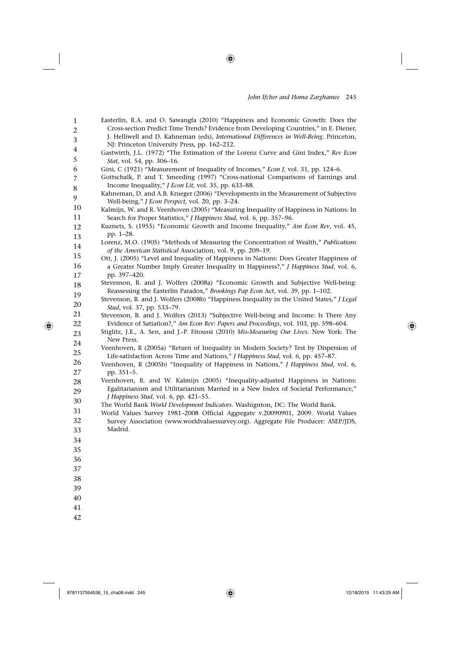| $\mathbf{1}$ | Easterlin, R.A. and O. Sawangfa (2010) "Happiness and Economic Growth: Does the                                                           |
|--------------|-------------------------------------------------------------------------------------------------------------------------------------------|
| 2            | Cross-section Predict Time Trends? Evidence from Developing Countries," in E. Diener,                                                     |
| 3            | J. Helliwell and D. Kahneman (eds), International Differences in Well-Being. Princeton,<br>NJ: Princeton University Press, pp. 162-212.   |
| 4            | Gastwirth, J.L. (1972) "The Estimation of the Lorenz Curve and Gini Index," Rev Econ                                                      |
| 5            | <i>Stat, vol.</i> 54, pp. 306-16.                                                                                                         |
| 6            | Gini, C (1921) "Measurement of Inequality of Incomes," Econ J, vol. 31, pp. 124-6.                                                        |
| 7            | Gottschalk, P. and T. Smeeding (1997) "Cross-national Comparisons of Earnings and<br>Income Inequality," J Econ Lit, vol. 35, pp. 633-88. |
| 8            | Kahneman, D. and A.B. Krueger (2006) "Developments in the Measurement of Subjective                                                       |
| 9            | Well-being," J Econ Perspect, vol. 20, pp. 3-24.                                                                                          |
| 10           | Kalmijn, W. and R. Veenhoven (2005) "Measuring Inequality of Happiness in Nations: In                                                     |
| 11           | Search for Proper Statistics," J Happiness Stud, vol. 6, pp. 357-96.                                                                      |
| 12           | Kuznets, S. (1955) "Economic Growth and Income Inequality," Am Econ Rev, vol. 45,                                                         |
| 13           | pp. 1-28.                                                                                                                                 |
| 14           | Lorenz, M.O. (1905) "Methods of Measuring the Concentration of Wealth," Publications                                                      |
| 15           | of the American Statistical Association, vol. 9, pp. 209-19.                                                                              |
| 16           | Ott, J. (2005) "Level and Inequality of Happiness in Nations: Does Greater Happiness of                                                   |
|              | a Greater Number Imply Greater Inequality in Happiness?," J Happiness Stud, vol. 6,                                                       |
| 17           | pp. 397-420.<br>Stevenson, B. and J. Wolfers (2008a) "Economic Growth and Subjective Well-being:                                          |
| 18           | Reassessing the Easterlin Paradox," Brookings Pap Econ Act, vol. 39, pp. 1-102.                                                           |
| 19           | Stevenson, B. and J. Wolfers (2008b) "Happiness Inequality in the United States," J Legal                                                 |
| 20           | Stud, vol. 37, pp. 533-79.                                                                                                                |
| 21           | Stevenson, B. and J. Wolfers (2013) "Subjective Well-being and Income: Is There Any                                                       |
| 22           | Evidence of Satiation?," Am Econ Rev: Papers and Proceedings, vol. 103, pp. 598-604.                                                      |
| 23           | Stiglitz, J.E., A. Sen, and J.-P. Fitoussi (2010) Mis-Measuring Our Lives. New York: The<br>New Press.                                    |
| 24           | Veenhoven, R (2005a) "Return of Inequality in Modern Society? Test by Dispersion of                                                       |
| 25           | Life-satisfaction Across Time and Nations," J Happiness Stud, vol. 6, pp. 457-87.                                                         |
| 26           | Veenhoven, R (2005b) "Inequality of Happiness in Nations," J Happiness Stud, vol. 6,                                                      |
| 27           | pp. 351–5.                                                                                                                                |
| 28           | Veenhoven, R. and W. Kalmijn (2005) "Inequality-adjusted Happiness in Nations:                                                            |
| 29           | Egalitarianism and Utilitarianism Married in a New Index of Societal Performance,"                                                        |
| 30           | J Happiness Stud, vol. 6, pp. 421-55.                                                                                                     |
| 31           | The World Bank World Development Indicators. Washignton, DC: The World Bank.                                                              |
|              | World Values Survey 1981-2008 Official Aggregate v.20090901, 2009. World Values                                                           |
| 32           | Survey Association (www.worldvaluessurvey.org). Aggregate File Producer: ASEP/JDS,                                                        |
| 33           | Madrid.                                                                                                                                   |
| 34           |                                                                                                                                           |
| 35           |                                                                                                                                           |
| 36           |                                                                                                                                           |
| 37           |                                                                                                                                           |
| 38           |                                                                                                                                           |
| 39           |                                                                                                                                           |
| 40           |                                                                                                                                           |
| 41           |                                                                                                                                           |
| 42           |                                                                                                                                           |
|              |                                                                                                                                           |

 $\bigoplus$ 

 $\bigoplus$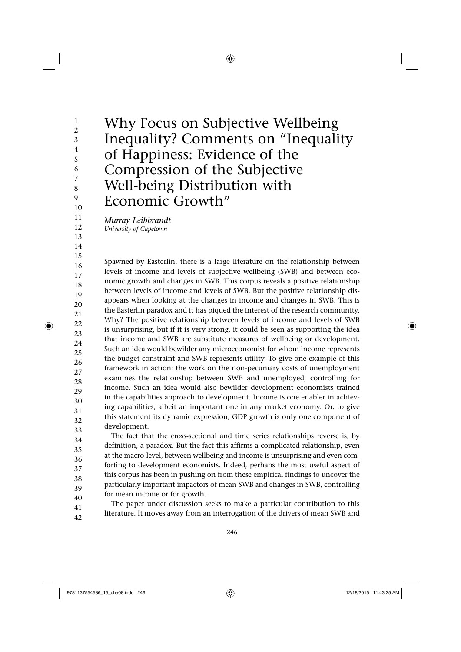# Why Focus on Subjective Wellbeing Inequality? Comments on "Inequality of Happiness: Evidence of the Compression of the Subjective Well-being Distribution with Economic Growth"

*Murray Leibbrandt University of Capetown*

Spawned by Easterlin, there is a large literature on the relationship between levels of income and levels of subjective wellbeing (SWB) and between economic growth and changes in SWB. This corpus reveals a positive relationship between levels of income and levels of SWB. But the positive relationship disappears when looking at the changes in income and changes in SWB. This is the Easterlin paradox and it has piqued the interest of the research community. Why? The positive relationship between levels of income and levels of SWB is unsurprising, but if it is very strong, it could be seen as supporting the idea that income and SWB are substitute measures of wellbeing or development. Such an idea would bewilder any microeconomist for whom income represents the budget constraint and SWB represents utility. To give one example of this framework in action: the work on the non-pecuniary costs of unemployment examines the relationship between SWB and unemployed, controlling for income. Such an idea would also bewilder development economists trained in the capabilities approach to development. Income is one enabler in achieving capabilities, albeit an important one in any market economy. Or, to give this statement its dynamic expression, GDP growth is only one component of development.

The fact that the cross-sectional and time series relationships reverse is, by definition, a paradox. But the fact this affirms a complicated relationship, even at the macro-level, between wellbeing and income is unsurprising and even comforting to development economists. Indeed, perhaps the most useful aspect of this corpus has been in pushing on from these empirical findings to uncover the particularly important impactors of mean SWB and changes in SWB, controlling for mean income or for growth. 33 34 35 36 37 38 39 40

The paper under discussion seeks to make a particular contribution to this literature. It moves away from an interrogation of the drivers of mean SWB and

41 42

⊕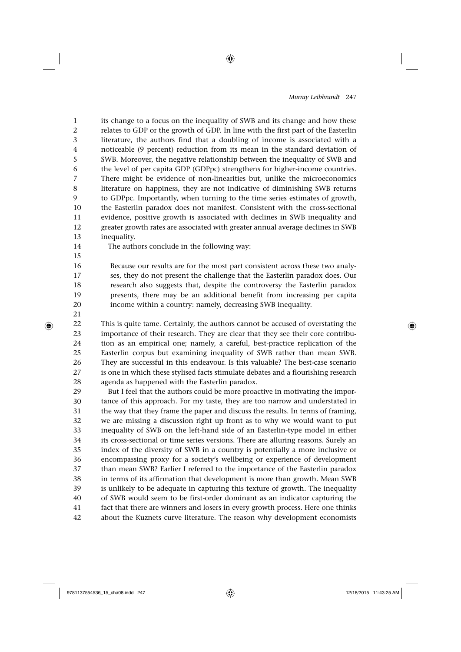### *Murray Leibbrandt* 247

its change to a focus on the inequality of SWB and its change and how these relates to GDP or the growth of GDP. In line with the first part of the Easterlin literature, the authors find that a doubling of income is associated with a noticeable (9 percent) reduction from its mean in the standard deviation of SWB. Moreover, the negative relationship between the inequality of SWB and the level of per capita GDP (GDPpc) strengthens for higher-income countries. There might be evidence of non-linearities but, unlike the microeconomics literature on happiness, they are not indicative of diminishing SWB returns to GDPpc. Importantly, when turning to the time series estimates of growth, the Easterlin paradox does not manifest. Consistent with the cross-sectional evidence, positive growth is associated with declines in SWB inequality and greater growth rates are associated with greater annual average declines in SWB inequality. 1 2 3 4 5 6 7 8 9 10 11 12 13

♠

The authors conclude in the following way:

Because our results are for the most part consistent across these two analyses, they do not present the challenge that the Easterlin paradox does. Our research also suggests that, despite the controversy the Easterlin paradox presents, there may be an additional benefit from increasing per capita income within a country: namely, decreasing SWB inequality.

This is quite tame. Certainly, the authors cannot be accused of overstating the importance of their research. They are clear that they see their core contribution as an empirical one; namely, a careful, best-practice replication of the Easterlin corpus but examining inequality of SWB rather than mean SWB. They are successful in this endeavour. Is this valuable? The best-case scenario is one in which these stylised facts stimulate debates and a flourishing research agenda as happened with the Easterlin paradox.

But I feel that the authors could be more proactive in motivating the importance of this approach. For my taste, they are too narrow and understated in the way that they frame the paper and discuss the results. In terms of framing, we are missing a discussion right up front as to why we would want to put inequality of SWB on the left-hand side of an Easterlin-type model in either its cross-sectional or time series versions. There are alluring reasons. Surely an index of the diversity of SWB in a country is potentially a more inclusive or encompassing proxy for a society's wellbeing or experience of development than mean SWB? Earlier I referred to the importance of the Easterlin paradox in terms of its affirmation that development is more than growth. Mean SWB is unlikely to be adequate in capturing this texture of growth. The inequality of SWB would seem to be first-order dominant as an indicator capturing the fact that there are winners and losers in every growth process. Here one thinks about the Kuznets curve literature. The reason why development economists 29 30 31 32 33 34 35 36 37 38 39 40 41 42

⊕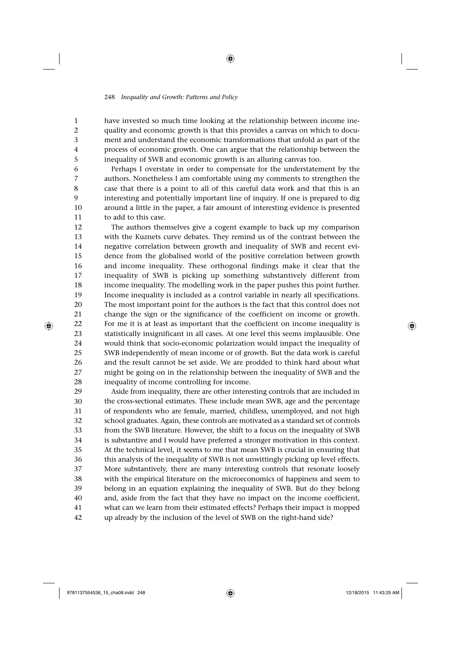have invested so much time looking at the relationship between income inequality and economic growth is that this provides a canvas on which to document and understand the economic transformations that unfold as part of the process of economic growth. One can argue that the relationship between the inequality of SWB and economic growth is an alluring canvas too.

♠

Perhaps I overstate in order to compensate for the understatement by the authors. Nonetheless I am comfortable using my comments to strengthen the case that there is a point to all of this careful data work and that this is an interesting and potentially important line of inquiry. If one is prepared to dig around a little in the paper, a fair amount of interesting evidence is presented to add to this case. 10 11

The authors themselves give a cogent example to back up my comparison with the Kuznets curve debates. They remind us of the contrast between the negative correlation between growth and inequality of SWB and recent evidence from the globalised world of the positive correlation between growth and income inequality. These orthogonal findings make it clear that the inequality of SWB is picking up something substantively different from income inequality. The modelling work in the paper pushes this point further. Income inequality is included as a control variable in nearly all specifications. The most important point for the authors is the fact that this control does not change the sign or the significance of the coefficient on income or growth. For me it is at least as important that the coefficient on income inequality is statistically insignificant in all cases. At one level this seems implausible. One would think that socio-economic polarization would impact the inequality of SWB independently of mean income or of growth. But the data work is careful and the result cannot be set aside. We are prodded to think hard about what might be going on in the relationship between the inequality of SWB and the inequality of income controlling for income. 12 13 14 15 16 17 18 19 20 22 23 24 25 26 27 28

Aside from inequality, there are other interesting controls that are included in the cross-sectional estimates. These include mean SWB, age and the percentage of respondents who are female, married, childless, unemployed, and not high school graduates. Again, these controls are motivated as a standard set of controls from the SWB literature. However, the shift to a focus on the inequality of SWB is substantive and I would have preferred a stronger motivation in this context. At the technical level, it seems to me that mean SWB is crucial in ensuring that this analysis of the inequality of SWB is not unwittingly picking up level effects. More substantively, there are many interesting controls that resonate loosely with the empirical literature on the microeconomics of happiness and seem to belong in an equation explaining the inequality of SWB. But do they belong and, aside from the fact that they have no impact on the income coefficient, what can we learn from their estimated effects? Perhaps their impact is mopped up already by the inclusion of the level of SWB on the right-hand side? 29 30 31 32 33 34 35 36 37 38 39 40 41 42

21